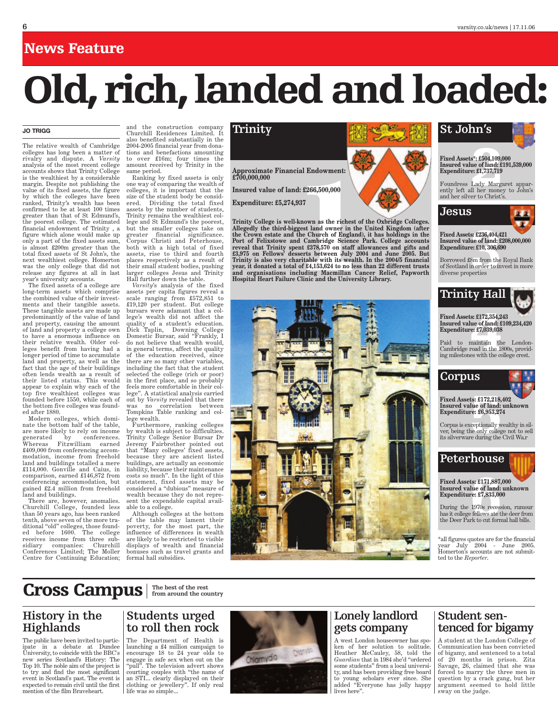**Approximate Financial Endowment: £700,000,000**

**Insured value of land: £266,500,000**

**Expenditure: £5,274,937**

Call Endowment:<br>
1.4:266,500,000<br>
1.4:266,500,000<br>
1.4:266,500,000<br>
1.4:266,500,000<br>
1.4:266,500,000<br>
1.4:266,500,000<br>
1.4:266,500,000<br>
1.4:266,500,000<br>
1.4:158,670 on staff allowances and gifts and Expenditure<br>
1.4:153,67 **Trinity College is well-known as the richest of the Oxbridge Colleges. Allegedly the third-biggest land owner in the United Kingdom (after the Crown estate and the Church of England), it has holdings in the Port of Felixstowe and Cambridge Science Park. College accounts reveal that Trinity spent £378,570 on staff allowances and gifts and £3,975 on Fellows' desserts between July 2004 and June 2005. But Trinity is also very charitable with its wealth. In the 2004/5 financial year, it donated a total of £4,153,624 to no less than 22 different trusts and organisations including Macmillan Cancer Relief, Papworth Hospital Heart Failure Clinic and the University Library.**



## **Trinity St John's**



# Fixed Assets\*: £504,109,000<br>Insured value of land: £191<br>Expenditure: £1,737,719<br>Foundress Lady Margare<br>ently left all her money t<br>and her silver to Christ's. **Insured value of land: £191,539,000 Expenditure: £1,737,719**

Foundress Lady Margaret apparently left all her money to John's and her silver to Christ's.



**Fixed Assets: £236,404,421 Insured value of land: £208,000,000 Expenditure: £10, 306,690**

**s: £236,404,4**<br>**ue of land: £**<br>**e: £10, 306,68**<br>8m from the<br>n order to in<br>perties Borrowed £8m from the Royal Bank of Scotland in order to invest in more diverse properties

## **Trinity Hall**

**Fixed Assets: £172,354,243 Insured value of land: £109,234,420 Expenditure: £7,039,038**

**4** Paid to maintain the London-Cambridge road in the 1800s, providing milestones with the college crest.

## **Corpus**



**55: £172,218,**<br>**lue of land:**<br>**ce: £6,953,27**<br>ceptionally w<br>ne only college<br>e during the **Fixed Assets: £172,218,402 Insured value of land: unknown Expenditure: £6,953,274**

Corpus is exceptionally wealthy in silver, being the only college not to sell its silverware during the Civil Wa.r

## **Peterhouse**

**ts: £171,887,<br>lue of land:**<br>**ce: £7,833,00**<br>**1970s** recess<br>fellows at et<br>rk to cut forn **Fixed Assets: £171,887,000 Insured value of land: unknown Expenditure: £7,833,000**

During the 1970s recession, rumour has it college fellows ate the deer from the Deer Park to cut formal hall bills.

 $*$ all figures quotes are for the financial<br>vear July 2004 - June 2005. July 2004 - June 2005. Homerton's accounts are not submitted to the *Reporter*.